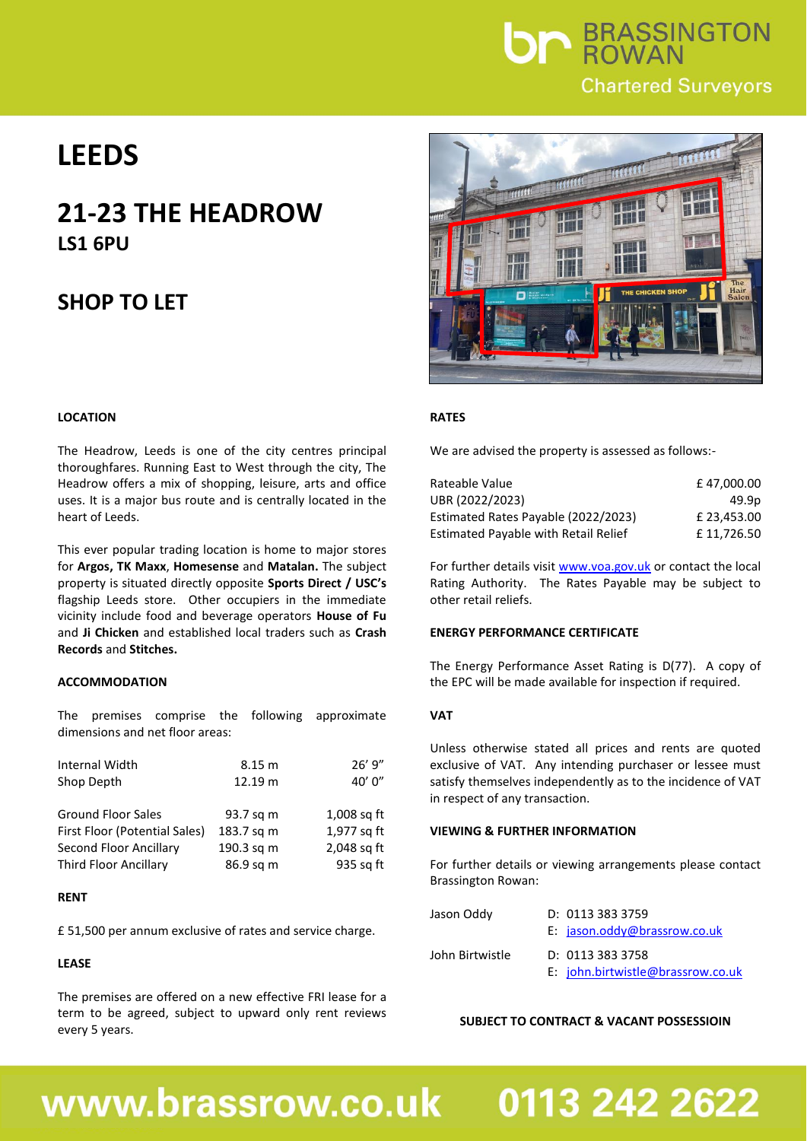

## **LEEDS**

### **21-23 THE HEADROW LS1 6PU**

### **SHOP TO LET**

#### **LOCATION**

The Headrow, Leeds is one of the city centres principal thoroughfares. Running East to West through the city, The Headrow offers a mix of shopping, leisure, arts and office uses. It is a major bus route and is centrally located in the heart of Leeds.

This ever popular trading location is home to major stores for **Argos, TK Maxx**, **Homesense** and **Matalan.** The subject property is situated directly opposite **Sports Direct / USC's** flagship Leeds store. Other occupiers in the immediate vicinity include food and beverage operators **House of Fu** and **Ji Chicken** and established local traders such as **Crash Records** and **Stitches.**

#### **ACCOMMODATION**

The premises comprise the following approximate dimensions and net floor areas:

| 8.15 m     | 26'9''        |
|------------|---------------|
| 12.19 m    | 40'0''        |
|            |               |
| 93.7 sq m  | $1,008$ sq ft |
| 183.7 sq m | 1,977 sq ft   |
| 190.3 sq m | 2,048 sq ft   |
| 86.9 sq m  | 935 sq ft     |
|            |               |

#### **RENT**

£ 51,500 per annum exclusive of rates and service charge.

#### **LEASE**

The premises are offered on a new effective FRI lease for a term to be agreed, subject to upward only rent reviews every 5 years.



#### **RATES**

We are advised the property is assessed as follows:-

| Rateable Value                              | £47.000.00  |
|---------------------------------------------|-------------|
| UBR (2022/2023)                             | 49.9p       |
| Estimated Rates Payable (2022/2023)         | £ 23.453.00 |
| <b>Estimated Payable with Retail Relief</b> | £11.726.50  |

For further details visit [www.voa.gov.uk](http://www.voa.gov.uk/) or contact the local Rating Authority. The Rates Payable may be subject to other retail reliefs.

#### **ENERGY PERFORMANCE CERTIFICATE**

The Energy Performance Asset Rating is D(77). A copy of the EPC will be made available for inspection if required.

#### **VAT**

Unless otherwise stated all prices and rents are quoted exclusive of VAT. Any intending purchaser or lessee must satisfy themselves independently as to the incidence of VAT in respect of any transaction.

#### **VIEWING & FURTHER INFORMATION**

For further details or viewing arrangements please contact Brassington Rowan:

| Jason Oddy      | D: 0113 383 3759                           |
|-----------------|--------------------------------------------|
|                 | E: $jason.odd\sqrt{\omega}$ brassrow.co.uk |
| John Birtwistle | D: 0113 383 3758                           |
|                 | E: john.birtwistle@brassrow.co.uk          |

#### **SUBJECT TO CONTRACT & VACANT POSSESSIOIN**

## www.brassrow.co.uk

# 0113 242 2622